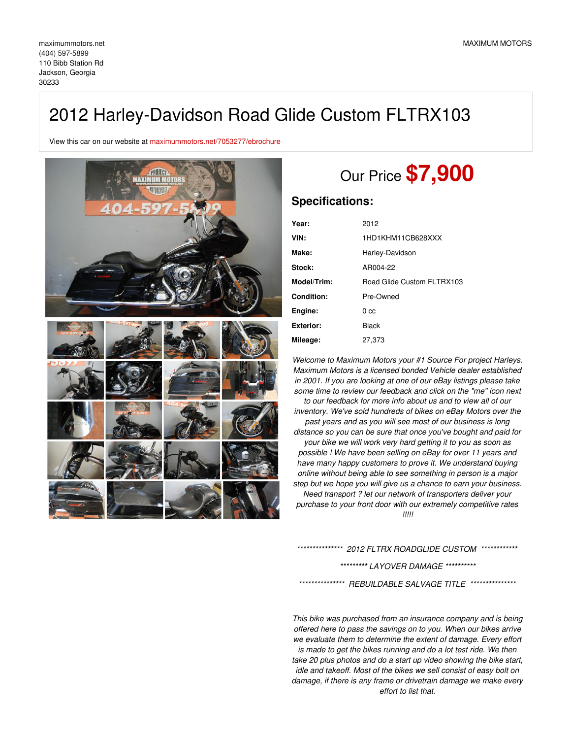## 2012 Harley-Davidson Road Glide Custom FLTRX103

View this car on our website at [maximummotors.net/7053277/ebrochure](https://maximummotors.net/vehicle/7053277/2012-harley-davidson-road-glide-custom-fltrx103-jackson-georgia-30233/7053277/ebrochure)



# Our Price **\$7,900**

## **Specifications:**

| Year:             | 2012                       |
|-------------------|----------------------------|
| VIN:              | 1HD1KHM11CB628XXX          |
| Make:             | Harley-Davidson            |
| <b>Stock:</b>     | AR004-22                   |
| Model/Trim:       | Road Glide Custom FLTRX103 |
| <b>Condition:</b> | Pre-Owned                  |
| Engine:           | 0 <sub>cc</sub>            |
| <b>Exterior:</b>  | Black                      |
| Mileage:          | 27,373                     |

*Welcome to Maximum Motors your #1 Source For project Harleys. Maximum Motors is a licensed bonded Vehicle dealer established in 2001. If you are looking at one of our eBay listings please take some time to review our feedback and click on the "me" icon next to our feedback for more info about us and to view all of our inventory. We've sold hundreds of bikes on eBay Motors over the past years and as you will see most of our business is long distance so you can be sure that once you've bought and paid for your bike we will work very hard getting it to you as soon as possible ! We have been selling on eBay for over 11 years and have many happy customers to prove it. We understand buying online without being able to see something in person is a major step but we hope you will give us a chance to earn your business. Need transport ? let our network of transporters deliver your purchase to your front door with our extremely competitive rates !!!!!*

*\*\*\*\*\*\*\*\*\*\*\*\*\*\*\* 2012 FLTRX ROADGLIDE CUSTOM \*\*\*\*\*\*\*\*\*\*\*\**

#### *\*\*\*\*\*\*\*\*\* LAYOVER DAMAGE \*\*\*\*\*\*\*\*\*\**

*\*\*\*\*\*\*\*\*\*\*\*\*\*\*\* REBUILDABLE SALVAGE TITLE \*\*\*\*\*\*\*\*\*\*\*\*\*\*\**

*This bike was purchased from an insurance company and is being offered here to pass the savings on to you. When our bikes arrive we evaluate them to determine the extent of damage. Every effort is made to get the bikes running and do a lot test ride. We then take 20 plus photos and do a start up video showing the bike start, idle and takeoff. Most of the bikes we sell consist of easy bolt on damage, if there is any frame or drivetrain damage we make every effort to list that.*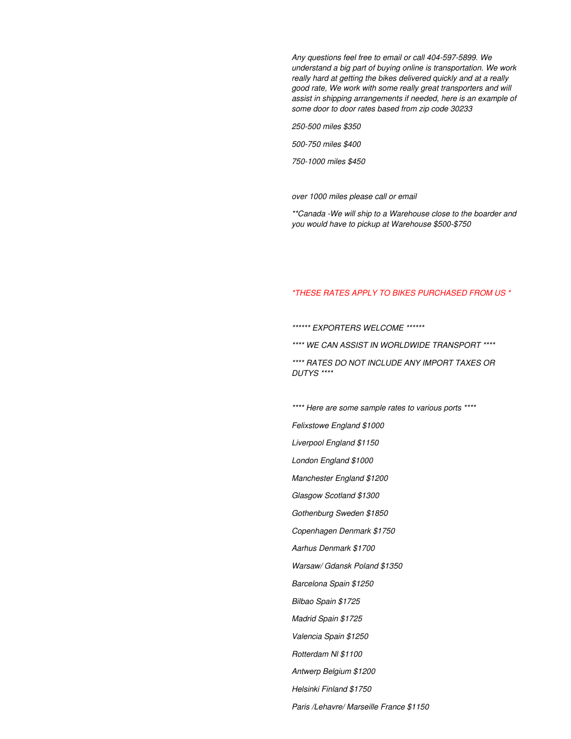*Any questions feel free to email or call 404-597-5899. We understand a big part of buying online is transportation. We work really hard at getting the bikes delivered quickly and at a really good rate, We work with some really great transporters and will assist in shipping arrangements if needed, here is an example of some door to door rates based from zip code 30233*

*250-500 miles \$350*

*500-750 miles \$400*

*750-1000 miles \$450*

*over 1000 miles please call or email*

*\*\*Canada -We will ship to a Warehouse close to the boarder and you would have to pickup at Warehouse \$500-\$750*

### *\*THESE RATES APPLY TO BIKES PURCHASED FROM US \**

*\*\*\*\*\*\* EXPORTERS WELCOME \*\*\*\*\*\**

*\*\*\*\* WE CAN ASSIST IN WORLDWIDE TRANSPORT \*\*\*\**

*\*\*\*\* RATES DO NOT INCLUDE ANY IMPORT TAXES OR DUTYS \*\*\*\**

*\*\*\*\* Here are some sample rates to various ports \*\*\*\**

*Felixstowe England \$1000*

*Liverpool England \$1150*

*London England \$1000*

*Manchester England \$1200*

*Glasgow Scotland \$1300*

*Gothenburg Sweden \$1850*

*Copenhagen Denmark \$1750*

*Aarhus Denmark \$1700*

*Warsaw/ Gdansk Poland \$1350*

*Barcelona Spain \$1250*

*Bilbao Spain \$1725*

*Madrid Spain \$1725*

*Valencia Spain \$1250*

*Rotterdam Nl \$1100*

*Antwerp Belgium \$1200*

*Helsinki Finland \$1750*

*Paris /Lehavre/ Marseille France \$1150*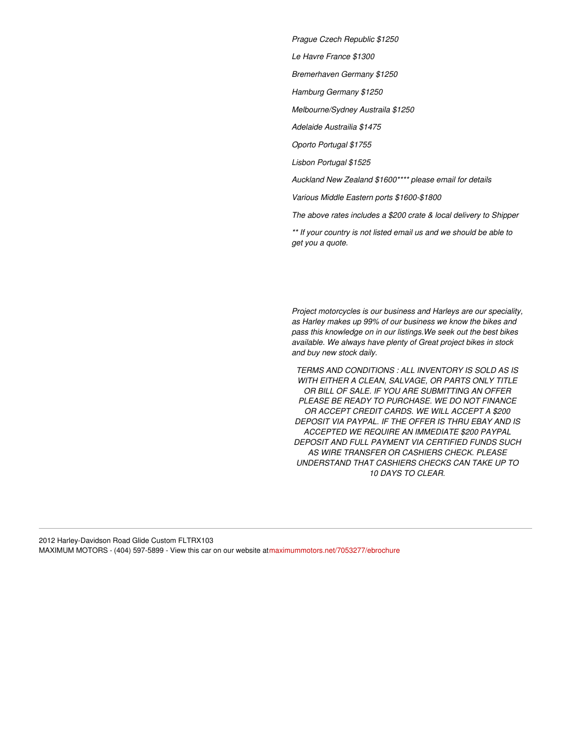*Prague Czech Republic \$1250*

*Le Havre France \$1300*

*Bremerhaven Germany \$1250*

*Hamburg Germany \$1250*

*Melbourne/Sydney Austraila \$1250*

*Adelaide Austrailia \$1475*

*Oporto Portugal \$1755*

*Lisbon Portugal \$1525*

*Auckland New Zealand \$1600\*\*\*\* please email for details*

*Various Middle Eastern ports \$1600-\$1800*

*The above rates includes a \$200 crate & local delivery to Shipper*

*\*\* If your country is not listed email us and we should be able to get you a quote.*

*Project motorcycles is our business and Harleys are our speciality, as Harley makes up 99% of our business we know the bikes and pass this knowledge on in our listings.We seek out the best bikes available. We always have plenty of Great project bikes in stock and buy new stock daily.*

*TERMS AND CONDITIONS : ALL INVENTORY IS SOLD AS IS WITH EITHER A CLEAN, SALVAGE, OR PARTS ONLY TITLE OR BILL OF SALE. IF YOU ARE SUBMITTING AN OFFER PLEASE BE READY TO PURCHASE. WE DO NOT FINANCE OR ACCEPT CREDIT CARDS. WE WILL ACCEPT A \$200 DEPOSIT VIA PAYPAL. IF THE OFFER IS THRU EBAY AND IS ACCEPTED WE REQUIRE AN IMMEDIATE \$200 PAYPAL DEPOSIT AND FULL PAYMENT VIA CERTIFIED FUNDS SUCH AS WIRE TRANSFER OR CASHIERS CHECK. PLEASE UNDERSTAND THAT CASHIERS CHECKS CAN TAKE UP TO 10 DAYS TO CLEAR*.

2012 Harley-Davidson Road Glide Custom FLTRX103 MAXIMUM MOTORS - (404) 597-5899 - View this car on our website a[tmaximummotors.net/7053277/ebrochure](https://maximummotors.net/vehicle/7053277/2012-harley-davidson-road-glide-custom-fltrx103-jackson-georgia-30233/7053277/ebrochure)